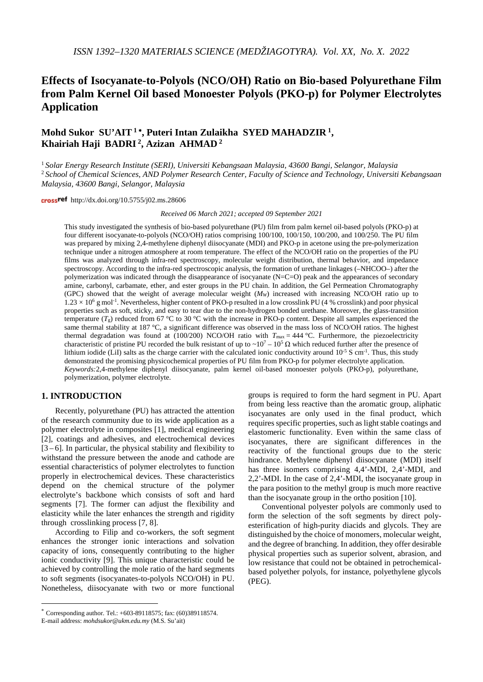# **Effects of Isocyanate-to-Polyols (NCO/OH) Ratio on Bio-based Polyurethane Film from Palm Kernel Oil based Monoester Polyols (PKO-p) for Polymer Electrolytes Application**

# **Mohd Sukor SU'AIT <sup>1</sup>** <sup>∗</sup>**, Puteri Intan Zulaikha SYED MAHADZIR 1, Khairiah Haji BADRI 2, Azizan AHMAD <sup>2</sup>**

<sup>1</sup> *Solar Energy Research Institute (SERI), Universiti Kebangsaan Malaysia, 43600 Bangi, Selangor, Malaysia* <sup>2</sup> *School of Chemical Sciences, AND Polymer Research Center, Faculty of Science and Technology, Universiti Kebangsaan Malaysia, 43600 Bangi, Selangor, Malaysia*

cross<sup>ref</sup> http://dx.doi.org/10.5755/j02.ms.28606

*Received 06 March 2021; accepted 09 September 2021*

This study investigated the synthesis of bio-based polyurethane (PU) film from palm kernel oil-based polyols (PKO-p) at four different isocyanate-to-polyols (NCO/OH) ratios comprising 100/100, 100/150, 100/200, and 100/250. The PU film was prepared by mixing 2,4-methylene diphenyl diisocyanate (MDI) and PKO-p in acetone using the pre-polymerization technique under a nitrogen atmosphere at room temperature. The effect of the NCO/OH ratio on the properties of the PU films was analyzed through infra-red spectroscopy, molecular weight distribution, thermal behavior, and impedance spectroscopy. According to the infra-red spectroscopic analysis, the formation of urethane linkages (–NHCOO–) after the polymerization was indicated through the disappearance of isocyanate (N=C=O) peak and the appearances of secondary amine, carbonyl, carbamate, ether, and ester groups in the PU chain. In addition, the Gel Permeation Chromatography (GPC) showed that the weight of average molecular weight (*MW*) increased with increasing NCO/OH ratio up to  $1.23 \times 10^6$  g mol<sup>-1</sup>. Nevertheless, higher content of PKO-p resulted in a low crosslink PU (4 % crosslink) and poor physical properties such as soft, sticky, and easy to tear due to the non-hydrogen bonded urethane. Moreover, the glass-transition temperature  $(T_g)$  reduced from 67 °C to 30 °C with the increase in PKO-p content. Despite all samples experienced the same thermal stability at 187 °C, a significant difference was observed in the mass loss of NCO/OH ratios. The highest thermal degradation was found at (100/200) NCO/OH ratio with  $T_{\text{max}} = 444 \degree C$ . Furthermore, the piezoelectricity characteristic of pristine PU recorded the bulk resistant of up to ~10<sup>7</sup> – 10<sup>5</sup> Ω which reduced further after the presence of lithium iodide (LiI) salts as the charge carrier with the calculated ionic conductivity around  $10^{-5}$  S cm<sup>-1</sup>. Thus, this study demonstrated the promising physicochemical properties of PU film from PKO-p for polymer electrolyte application. *Keywords:*2,4-methylene diphenyl diisocyanate, palm kernel oil-based monoester polyols (PKO-p), polyurethane, polymerization, polymer electrolyte.

# **1. INTRODUCTION**[\\*](#page-0-0)

Recently, polyurethane (PU) has attracted the attention of the research community due to its wide application as a polymer electrolyte in composites [1], medical engineering [2], coatings and adhesives, and electrochemical devices  $[3 - 6]$ . In particular, the physical stability and flexibility to withstand the pressure between the anode and cathode are essential characteristics of polymer electrolytes to function properly in electrochemical devices. These characteristics depend on the chemical structure of the polymer electrolyte's backbone which consists of soft and hard segments [7]. The former can adjust the flexibility and elasticity while the later enhances the strength and rigidity through crosslinking process [7, 8].

According to Filip and co-workers, the soft segment enhances the stronger ionic interactions and solvation capacity of ions, consequently contributing to the higher ionic conductivity [9]. This unique characteristic could be achieved by controlling the mole ratio of the hard segments to soft segments (isocyanates-to-polyols NCO/OH) in PU. Nonetheless, diisocyanate with two or more functional

groups is required to form the hard segment in PU. Apart from being less reactive than the aromatic group, aliphatic isocyanates are only used in the final product, which requires specific properties, such as light stable coatings and elastomeric functionality. Even within the same class of isocyanates, there are significant differences in the reactivity of the functional groups due to the steric hindrance. Methylene diphenyl diisocyanate (MDI) itself has three isomers comprising 4,4'-MDI, 2,4'-MDI, and 2,2'-MDI. In the case of 2,4'-MDI, the isocyanate group in the para position to the methyl group is much more reactive than the isocyanate group in the ortho position [10].

Conventional polyester polyols are commonly used to form the selection of the soft segments by direct polyesterification of high-purity diacids and glycols. They are distinguished by the choice of monomers, molecular weight, and the degree of branching. In addition, they offer desirable physical properties such as superior solvent, abrasion, and low resistance that could not be obtained in petrochemicalbased polyether polyols, for instance, polyethylene glycols (PEG).

<span id="page-0-0"></span> <sup>\*</sup> Corresponding author. Tel.: +603-89118575; fax: (60)389118574.

E-mail address: *mohdsukor@ukm.edu.my* (M.S. Su'ait)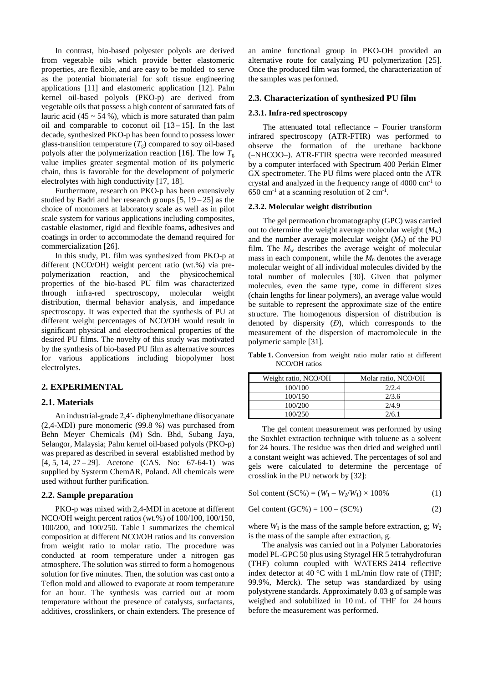In contrast, bio-based polyester polyols are derived from vegetable oils which provide better elastomeric properties, are flexible, and are easy to be molded to serve as the potential biomaterial for soft tissue engineering applications [11] and elastomeric application [12]. Palm kernel oil-based polyols (PKO-p) are derived from vegetable oils that possess a high content of saturated fats of lauric acid  $(45 \sim 54 \%)$ , which is more saturated than palm oil and comparable to coconut oil  $[13 - 15]$ . In the last decade, synthesized PKO-p has been found to possess lower glass-transition temperature  $(T_g)$  compared to soy oil-based polyols after the polymerization reaction [16]. The low  $T_{\rm g}$ value implies greater segmental motion of its polymeric chain, thus is favorable for the development of polymeric electrolytes with high conductivity [17, 18].

Furthermore, research on PKO-p has been extensively studied by Badri and her research groups  $[5, 19-25]$  as the choice of monomers at laboratory scale as well as in pilot scale system for various applications including composites, castable elastomer, rigid and flexible foams, adhesives and coatings in order to accommodate the demand required for commercialization [26].

In this study, PU film was synthesized from PKO-p at different (NCO/OH) weight percent ratio (wt.%) via prepolymerization reaction, and the physicochemical properties of the bio-based PU film was characterized through infra-red spectroscopy, molecular weight distribution, thermal behavior analysis, and impedance spectroscopy. It was expected that the synthesis of PU at different weight percentages of NCO/OH would result in significant physical and electrochemical properties of the desired PU films. The novelty of this study was motivated by the synthesis of bio-based PU film as alternative sources for various applications including biopolymer host electrolytes.

## **2. EXPERIMENTAL**

#### **2.1. Materials**

An industrial-grade 2,4′- diphenylmethane diisocyanate (2,4-MDI) pure monomeric (99.8 %) was purchased from Behn Meyer Chemicals (M) Sdn. Bhd, Subang Jaya, Selangor, Malaysia; Palm kernel oil-based polyols (PKO-p) was prepared as described in several established method by [4, 5, 14, 27 – 29]. Acetone (CAS. No: 67-64-1) was supplied by Systerm ChemAR, Poland. All chemicals were used without further purification.

#### **2.2. Sample preparation**

PKO-p was mixed with 2,4-MDI in acetone at different NCO/OH weight percent ratios (wt.%) of 100/100, 100/150, 100/200, and 100/250. Table 1 summarizes the chemical composition at different NCO/OH ratios and its conversion from weight ratio to molar ratio. The procedure was conducted at room temperature under a nitrogen gas atmosphere. The solution was stirred to form a homogenous solution for five minutes. Then, the solution was cast onto a Teflon mold and allowed to evaporate at room temperature for an hour. The synthesis was carried out at room temperature without the presence of catalysts, surfactants, additives, crosslinkers, or chain extenders. The presence of an amine functional group in PKO-OH provided an alternative route for catalyzing PU polymerization [25]. Once the produced film was formed, the characterization of the samples was performed.

## **2.3. Characterization of synthesized PU film**

### **2.3.1. Infra-red spectroscopy**

The attenuated total reflectance – Fourier transform infrared spectroscopy (ATR-FTIR) was performed to observe the formation of the urethane backbone (–NHCOO–). ATR-FTIR spectra were recorded measured by a computer interfaced with Spectrum 400 Perkin Elmer GX spectrometer. The PU films were placed onto the ATR crystal and analyzed in the frequency range of  $4000 \text{ cm}^{-1}$  to  $650$  cm<sup>-1</sup> at a scanning resolution of 2 cm<sup>-1</sup>.

#### **2.3.2. Molecular weight distribution**

The gel permeation chromatography (GPC) was carried out to determine the weight average molecular weight  $(M_w)$ and the number average molecular weight  $(M_n)$  of the PU film. The  $M_w$  describes the average weight of molecular mass in each component, while the  $M_n$  denotes the average molecular weight of all individual molecules divided by the total number of molecules [30]. Given that polymer molecules, even the same type, come in different sizes (chain lengths for linear polymers), an average value would be suitable to represent the approximate size of the entire structure. The homogenous dispersion of distribution is denoted by dispersity (*Đ*), which corresponds to the measurement of the dispersion of macromolecule in the polymeric sample [31].

**Table 1.** Conversion from weight ratio molar ratio at different NCO/OH ratios

| Weight ratio, NCO/OH | Molar ratio, NCO/OH |
|----------------------|---------------------|
| 100/100              | 2/2.4               |
| 100/150              | 2/3.6               |
| 100/200              | 2/4.9               |
| 100/250              | 2/61                |

The gel content measurement was performed by using the Soxhlet extraction technique with toluene as a solvent for 24 hours. The residue was then dried and weighed until a constant weight was achieved. The percentages of sol and gels were calculated to determine the percentage of crosslink in the PU network by [32]:

Sol content  $(SC\%) = (W_1 - W_2/W_1) \times 100\%$  (1)

Gel content  $(GC\%) = 100 - (SC\%)$  (2)

where  $W_1$  is the mass of the sample before extraction, g;  $W_2$ is the mass of the sample after extraction, g.

The analysis was carried out in a Polymer Laboratories model PL-GPC 50 plus using Styragel HR 5 tetrahydrofuran (THF) column coupled with WATERS 2414 reflective index detector at 40 °C with 1 mL/min flow rate of (THF; 99.9%, Merck). The setup was standardized by using polystyrene standards. Approximately 0.03 g of sample was weighed and solubilized in 10 mL of THF for 24 hours before the measurement was performed.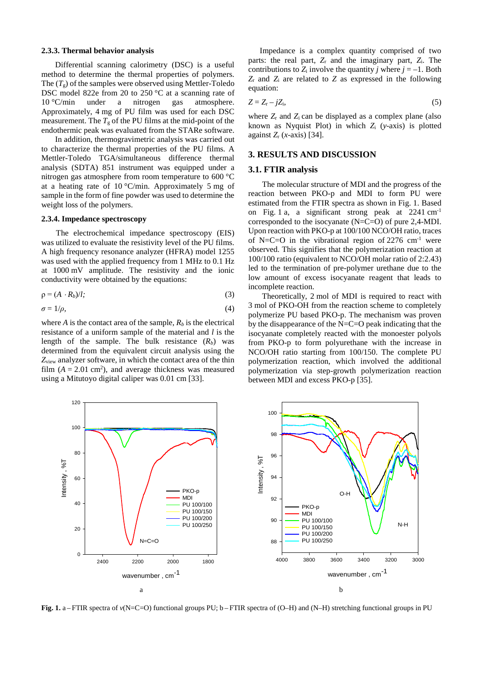#### **2.3.3. Thermal behavior analysis**

Differential scanning calorimetry (DSC) is a useful method to determine the thermal properties of polymers. The  $(T_g)$  of the samples were observed using Mettler-Toledo DSC model 822e from 20 to 250 °C at a scanning rate of 10 °C/min under a nitrogen gas atmosphere. Approximately, 4 mg of PU film was used for each DSC measurement. The  $T_g$  of the PU films at the mid-point of the endothermic peak was evaluated from the STARe software.

In addition, thermogravimetric analysis was carried out to characterize the thermal properties of the PU films. A Mettler-Toledo TGA/simultaneous difference thermal analysis (SDTA) 851 instrument was equipped under a nitrogen gas atmosphere from room temperature to 600 °C at a heating rate of 10  $\degree$ C/min. Approximately 5 mg of sample in the form of fine powder was used to determine the weight loss of the polymers.

### **2.3.4. Impedance spectroscopy**

The electrochemical impedance spectroscopy (EIS) was utilized to evaluate the resistivity level of the PU films. A high frequency resonance analyzer (HFRA) model 1255 was used with the applied frequency from 1 MHz to 0.1 Hz at 1000 mV amplitude. The resistivity and the ionic conductivity were obtained by the equations:

$$
\rho = (A \cdot R_b)/l; \tag{3}
$$

$$
\sigma = 1/\rho, \tag{4}
$$

where *A* is the contact area of the sample,  $R_b$  is the electrical resistance of a uniform sample of the material and *l* is the length of the sample. The bulk resistance  $(R_b)$  was determined from the equivalent circuit analysis using the *Z*view analyzer software, in which the contact area of the thin film  $(A = 2.01 \text{ cm}^2)$ , and average thickness was measured using a Mitutoyo digital caliper was 0.01 cm [33].

Impedance is a complex quantity comprised of two parts: the real part,  $Z_r$  and the imaginary part,  $Z_i$ . The contributions to  $Z_i$  involve the quantity *j* where  $j = -1$ . Both *Z*<sup>r</sup> and *Z*<sup>i</sup> are related to *Z* as expressed in the following equation:

$$
Z = Z_{\rm r} - jZ_{\rm i},\tag{5}
$$

where  $Z_r$  and  $Z_i$  can be displayed as a complex plane (also known as Nyquist Plot) in which *Z*<sup>i</sup> (*y*-axis) is plotted against *Z*<sup>r</sup> (*x*-axis) [34].

## **3. RESULTS AND DISCUSSION**

#### **3.1. FTIR analysis**

The molecular structure of MDI and the progress of the reaction between PKO-p and MDI to form PU were estimated from the FTIR spectra as shown in Fig. 1. Based on Fig. 1 a, a significant strong peak at 2241 cm-1 corresponded to the isocyanate (N=C=O) of pure 2,4-MDI. Upon reaction with PKO-p at 100/100 NCO/OH ratio, traces of N=C=O in the vibrational region of  $2276 \text{ cm}^{-1}$  were observed. This signifies that the polymerization reaction at 100/100 ratio (equivalent to NCO/OH molar ratio of 2:2.43) led to the termination of pre-polymer urethane due to the low amount of excess isocyanate reagent that leads to incomplete reaction.

Theoretically, 2 mol of MDI is required to react with 3 mol of PKO-OH from the reaction scheme to completely polymerize PU based PKO-p. The mechanism was proven by the disappearance of the N=C=O peak indicating that the isocyanate completely reacted with the monoester polyols from PKO-p to form polyurethane with the increase in NCO/OH ratio starting from 100/150. The complete PU polymerization reaction, which involved the additional polymerization via step-growth polymerization reaction between MDI and excess PKO-p [35].



**Fig. 1.** a – FTIR spectra of *v*(N=C=O) functional groups PU; b – FTIR spectra of (O–H) and (N–H) stretching functional groups in PU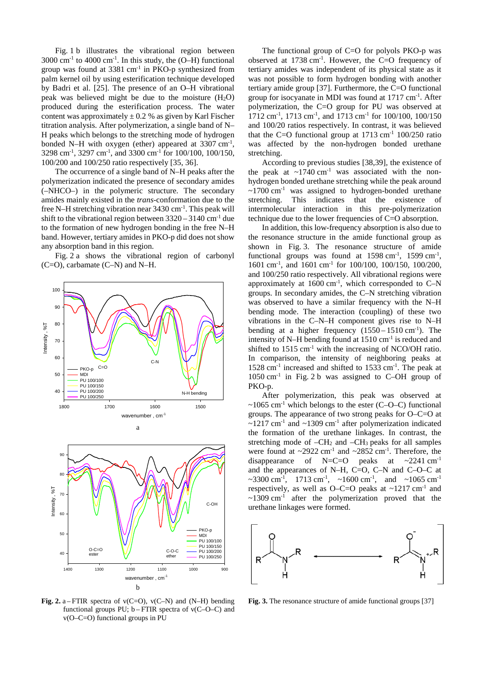Fig. 1 b illustrates the vibrational region between  $3000 \text{ cm}^{-1}$  to  $4000 \text{ cm}^{-1}$ . In this study, the (O–H) functional group was found at  $3381 \text{ cm}^{-1}$  in PKO-p synthesized from palm kernel oil by using esterification technique developed by Badri et al. [25]. The presence of an O–H vibrational peak was believed might be due to the moisture  $(H_2O)$ produced during the esterification process. The water content was approximately  $\pm$  0.2 % as given by Karl Fischer titration analysis. After polymerization, a single band of N– H peaks which belongs to the stretching mode of hydrogen bonded N-H with oxygen (ether) appeared at 3307 cm<sup>-1</sup>, 3298 cm-1 , 3297 cm-1 , and 3300 cm-1 for 100/100, 100/150, 100/200 and 100/250 ratio respectively [35, 36].

The occurrence of a single band of N–H peaks after the polymerization indicated the presence of secondary amides (–NHCO–) in the polymeric structure. The secondary amides mainly existed in the *trans*-conformation due to the free N–H stretching vibration near 3430 cm<sup>-1</sup>. This peak will shift to the vibrational region between  $3320 - 3140$  cm<sup>-1</sup> due to the formation of new hydrogen bonding in the free N–H band. However, tertiary amides in PKO-p did does not show any absorption band in this region.

Fig. 2 a shows the vibrational region of carbonyl (C=O), carbamate (C–N) and N–H.



**Fig. 2.** a – FTIR spectra of v(C=O), v(C–N) and (N–H) bending functional groups PU;  $b - FTIR$  spectra of  $v(C-Q-C)$  and v(O–C=O) functional groups in PU

The functional group of C=O for polyols PKO-p was observed at 1738 cm-1 . However, the C=O frequency of tertiary amides was independent of its physical state as it was not possible to form hydrogen bonding with another tertiary amide group [37]. Furthermore, the C=O functional group for isocyanate in MDI was found at 1717 cm-1 . After polymerization, the C=O group for PU was observed at 1712 cm<sup>-1</sup>, 1713 cm<sup>-1</sup>, and 1713 cm<sup>-1</sup> for 100/100, 100/150 and 100/20 ratios respectively. In contrast, it was believed that the C=O functional group at  $1713 \text{ cm}^{-1}$   $100/250 \text{ ratio}$ was affected by the non-hydrogen bonded urethane stretching.

According to previous studies [38,39], the existence of the peak at  $\sim$ 1740 cm<sup>-1</sup> was associated with the nonhydrogen bonded urethane stretching while the peak around  $\sim$ 1700 cm<sup>-1</sup> was assigned to hydrogen-bonded urethane stretching. This indicates that the existence of intermolecular interaction in this pre-polymerization technique due to the lower frequencies of C=O absorption.

In addition, this low-frequency absorption is also due to the resonance structure in the amide functional group as shown in Fig. 3. The resonance structure of amide functional groups was found at  $1598 \text{ cm}^{-1}$ ,  $1599 \text{ cm}^{-1}$ , 1601 cm-1 , and 1601 cm-1 for 100/100, 100/150, 100/200, and 100/250 ratio respectively. All vibrational regions were approximately at  $1600 \text{ cm}^{-1}$ , which corresponded to C-N groups. In secondary amides, the C–N stretching vibration was observed to have a similar frequency with the N–H bending mode. The interaction (coupling) of these two vibrations in the C–N–H component gives rise to N–H bending at a higher frequency  $(1550 - 1510 \text{ cm}^{-1})$ . The intensity of N–H bending found at  $1510 \text{ cm}^{-1}$  is reduced and shifted to 1515 cm<sup>-1</sup> with the increasing of NCO/OH ratio. In comparison, the intensity of neighboring peaks at 1528 cm-1 increased and shifted to 1533 cm-1 . The peak at  $1050 \text{ cm}^{-1}$  in Fig. 2 b was assigned to C–OH group of PKO-p.

After polymerization, this peak was observed at  $\sim$ 1065 cm<sup>-1</sup> which belongs to the ester (C–O–C) functional groups. The appearance of two strong peaks for O–C=O at  $\sim$ 1217 cm<sup>-1</sup> and  $\sim$ 1309 cm<sup>-1</sup> after polymerization indicated the formation of the urethane linkages. In contrast, the stretching mode of  $-CH_2$  and  $-CH_3$  peaks for all samples were found at  $\sim$ 2922 cm<sup>-1</sup> and  $\sim$ 2852 cm<sup>-1</sup>. Therefore, the disappearance of N=C=O peaks at  $\sim$ 2241 cm<sup>-1</sup> and the appearances of N–H, C=O, C–N and C–O–C at ~3300 cm<sup>-1</sup>, 1713 cm<sup>-1</sup>, ~1600 cm<sup>-1</sup>, and ~1065 cm<sup>-1</sup> respectively, as well as O–C=O peaks at  $\sim$ 1217 cm<sup>-1</sup> and  $\sim$ 1309 cm<sup>-1</sup> after the polymerization proved that the urethane linkages were formed.



**Fig. 3.** The resonance structure of amide functional groups [37]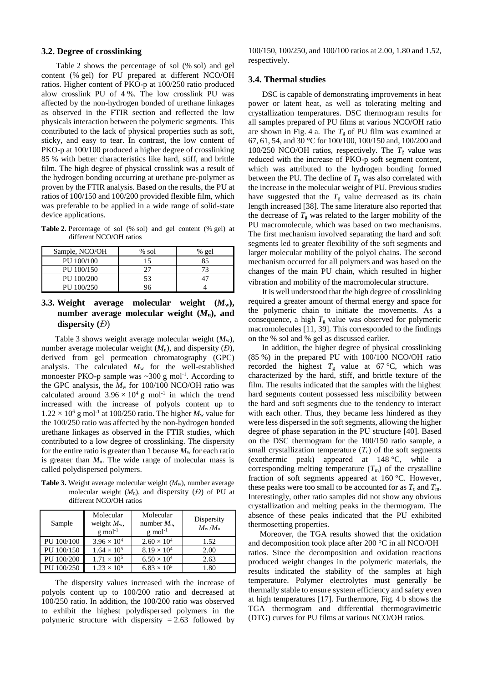## **3.2. Degree of crosslinking**

Table 2 shows the percentage of sol (% sol) and gel content (% gel) for PU prepared at different NCO/OH ratios. Higher content of PKO-p at 100/250 ratio produced alow crosslink PU of 4 %. The low crosslink PU was affected by the non-hydrogen bonded of urethane linkages as observed in the FTIR section and reflected the low physicals interaction between the polymeric segments. This contributed to the lack of physical properties such as soft, sticky, and easy to tear. In contrast, the low content of PKO-p at 100/100 produced a higher degree of crosslinking 85 % with better characteristics like hard, stiff, and brittle film. The high degree of physical crosslink was a result of the hydrogen bonding occurring at urethane pre-polymer as proven by the FTIR analysis. Based on the results, the PU at ratios of 100/150 and 100/200 provided flexible film, which was preferable to be applied in a wide range of solid-state device applications.

**Table 2.** Percentage of sol (% sol) and gel content (% gel) at different NCO/OH ratios

| Sample, NCO/OH | % sol | % gel |
|----------------|-------|-------|
| PU 100/100     |       |       |
| PU 100/150     |       |       |
| PU 100/200     | 53    |       |
| PU 100/250     |       |       |

# **3.3. Weight average molecular weight (***M***w), number average molecular weight (***M***n), and dispersity (***Đ*)

Table 3 shows weight average molecular weight (*M*w), number average molecular weight (*M*n), and dispersity (*Đ*), derived from gel permeation chromatography (GPC) analysis. The calculated  $M_w$  for the well-established monoester PKO-p sample was  $\sim 300$  g mol<sup>-1</sup>. According to the GPC analysis, the  $M_w$  for 100/100 NCO/OH ratio was calculated around  $3.96 \times 10^4$  g mol<sup>-1</sup> in which the trend increased with the increase of polyols content up to  $1.22 \times 10^6$  g mol<sup>-1</sup> at 100/250 ratio. The higher  $M_w$  value for the 100/250 ratio was affected by the non-hydrogen bonded urethane linkages as observed in the FTIR studies, which contributed to a low degree of crosslinking. The dispersity for the entire ratio is greater than 1 because  $M_w$  for each ratio is greater than  $M_n$ . The wide range of molecular mass is called polydispersed polymers.

**Table 3.** Weight average molecular weight (*M*w), number average molecular weight  $(M_n)$ , and dispersity  $(D)$  of PU at different NCO/OH ratios

| Sample     | Molecular<br>weight $M_{\rm w}$ ,<br>$g$ mol <sup>-1</sup> | Molecular<br>number $M_n$ ,<br>$g$ mol <sup>-1</sup> | Dispersity<br>$M_{\rm w}/M_{\rm n}$ |
|------------|------------------------------------------------------------|------------------------------------------------------|-------------------------------------|
| PU 100/100 | $3.96 \times 10^{4}$                                       | $2.60 \times 10^{4}$                                 | 1.52                                |
| PU 100/150 | $1.64 \times 10^{5}$                                       | $8.19 \times 10^{4}$                                 | 2.00                                |
| PU 100/200 | $1.71 \times 10^{5}$                                       | $6.50 \times 10^{4}$                                 | 2.63                                |
| PU 100/250 | $1.23 \times 10^{6}$                                       | $6.83 \times 10^{5}$                                 | 1.80                                |

The dispersity values increased with the increase of polyols content up to 100/200 ratio and decreased at 100/250 ratio. In addition, the 100/200 ratio was observed to exhibit the highest polydispersed polymers in the polymeric structure with dispersity  $= 2.63$  followed by 100/150, 100/250, and 100/100 ratios at 2.00, 1.80 and 1.52, respectively.

# **3.4. Thermal studies**

DSC is capable of demonstrating improvements in heat power or latent heat, as well as tolerating melting and crystallization temperatures. DSC thermogram results for all samples prepared of PU films at various NCO/OH ratio are shown in Fig. 4 a. The  $T<sub>g</sub>$  of PU film was examined at 67, 61, 54, and 30 °C for 100/100, 100/150 and, 100/200 and 100/250 NCO/OH ratios, respectively. The  $T<sub>g</sub>$  value was reduced with the increase of PKO-p soft segment content, which was attributed to the hydrogen bonding formed between the PU. The decline of  $T_g$  was also correlated with the increase in the molecular weight of PU. Previous studies have suggested that the  $T<sub>g</sub>$  value decreased as its chain length increased [38]. The same literature also reported that the decrease of  $T_g$  was related to the larger mobility of the PU macromolecule, which was based on two mechanisms. The first mechanism involved separating the hard and soft segments led to greater flexibility of the soft segments and larger molecular mobility of the polyol chains. The second mechanism occurred for all polymers and was based on the changes of the main PU chain, which resulted in higher vibration and mobility of the macromolecular structure.

It is well understood that the high degree of crosslinking required a greater amount of thermal energy and space for the polymeric chain to initiate the movements. As a consequence, a high  $T_g$  value was observed for polymeric macromolecules [11, 39]. This corresponded to the findings on the % sol and % gel as discussed earlier.

In addition, the higher degree of physical crosslinking (85 %) in the prepared PU with 100/100 NCO/OH ratio recorded the highest  $T_g$  value at 67 °C, which was characterized by the hard, stiff, and brittle texture of the film. The results indicated that the samples with the highest hard segments content possessed less miscibility between the hard and soft segments due to the tendency to interact with each other. Thus, they became less hindered as they were less dispersed in the soft segments, allowing the higher degree of phase separation in the PU structure [40]. Based on the DSC thermogram for the 100/150 ratio sample, a small crystallization temperature  $(T_c)$  of the soft segments (exothermic peak) appeared at 148 °C, while a corresponding melting temperature  $(T<sub>m</sub>)$  of the crystalline fraction of soft segments appeared at 160 °C. However, these peaks were too small to be accounted for as  $T_c$  and  $T_m$ . Interestingly, other ratio samples did not show any obvious crystallization and melting peaks in the thermogram. The absence of these peaks indicated that the PU exhibited thermosetting properties.

Moreover, the TGA results showed that the oxidation and decomposition took place after 200 °C in all NCO/OH ratios. Since the decomposition and oxidation reactions produced weight changes in the polymeric materials, the results indicated the stability of the samples at high temperature. Polymer electrolytes must generally be thermally stable to ensure system efficiency and safety even at high temperatures [17]. Furthermore, Fig. 4 b shows the TGA thermogram and differential thermogravimetric (DTG) curves for PU films at various NCO/OH ratios.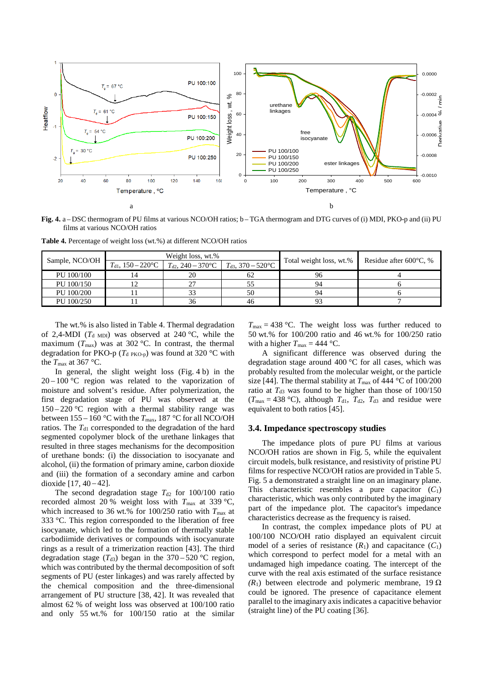

**Fig. 4.** a – DSC thermogram of PU films at various NCO/OH ratios; b – TGA thermogram and DTG curves of (i) MDI, PKO-p and (ii) PU films at various NCO/OH ratios

**Table 4.** Percentage of weight loss (wt.%) at different NCO/OH ratios

|                | Weight loss, wt.%              |                                     |                                   |                         |                                  |  |
|----------------|--------------------------------|-------------------------------------|-----------------------------------|-------------------------|----------------------------------|--|
| Sample, NCO/OH | $T_{\text{d1}}$ , 150 – 220 °C | $T_{d2}$ , 240 – 370 <sup>o</sup> C | $T_{d3}$ , 370 – 520 $^{\circ}$ C | Total weight loss, wt.% | Residue after $600^{\circ}$ C, % |  |
| PU 100/100     |                                | 20                                  | 62                                | 96                      |                                  |  |
| PU 100/150     |                                | າາ                                  |                                   |                         |                                  |  |
| PU 100/200     |                                | 33                                  | 50                                |                         |                                  |  |
| PU 100/250     |                                | 36                                  | 46                                |                         |                                  |  |

The wt.% is also listed in Table 4. Thermal degradation of 2,4-MDI ( $T<sub>d</sub>$ <sub>MDI</sub>) was observed at 240 °C, while the maximum ( $T_{\text{max}}$ ) was at 302 °C. In contrast, the thermal degradation for PKO-p ( $T_{d \text{ PKO-p}}$ ) was found at 320 °C with the  $T_{\text{max}}$  at 367 °C.

In general, the slight weight loss (Fig. 4 b) in the  $20 - 100$  °C region was related to the vaporization of moisture and solvent's residue. After polymerization, the first degradation stage of PU was observed at the  $150 - 220$  °C region with a thermal stability range was between 155 – 160 °C with the  $T_{\text{max}}$ , 187 °C for all NCO/OH ratios. The  $T<sub>d1</sub>$  corresponded to the degradation of the hard segmented copolymer block of the urethane linkages that resulted in three stages mechanisms for the decomposition of urethane bonds: (i) the dissociation to isocyanate and alcohol, (ii) the formation of primary amine, carbon dioxide and (iii) the formation of a secondary amine and carbon dioxide  $[17, 40 - 42]$ .

The second degradation stage  $T_{d2}$  for 100/100 ratio recorded almost 20 % weight loss with  $T_{\text{max}}$  at 339 °C, which increased to 36 wt.% for 100/250 ratio with  $T_{\text{max}}$  at 333 °C. This region corresponded to the liberation of free isocyanate, which led to the formation of thermally stable carbodiimide derivatives or compounds with isocyanurate rings as a result of a trimerization reaction [43]. The third degradation stage  $(T_{d3})$  began in the 370–520 °C region, which was contributed by the thermal decomposition of soft segments of PU (ester linkages) and was rarely affected by the chemical composition and the three-dimensional arrangement of PU structure [38, 42]. It was revealed that almost 62 % of weight loss was observed at 100/100 ratio and only 55 wt.% for 100/150 ratio at the similar

 $T_{\text{max}} = 438$  °C. The weight loss was further reduced to 50 wt.% for 100/200 ratio and 46 wt.% for 100/250 ratio with a higher  $T_{\text{max}} = 444 \text{ °C}$ .

A significant difference was observed during the degradation stage around 400 °C for all cases, which was probably resulted from the molecular weight, or the particle size [44]. The thermal stability at  $T_{\text{max}}$  of 444 °C of 100/200 ratio at  $T_{d3}$  was found to be higher than those of  $100/150$  $(T_{\text{max}} = 438 \text{ °C})$ , although  $T_{d1}$ ,  $T_{d2}$ ,  $T_{d3}$  and residue were equivalent to both ratios [45].

#### **3.4. Impedance spectroscopy studies**

The impedance plots of pure PU films at various NCO/OH ratios are shown in Fig. 5, while the equivalent circuit models, bulk resistance, and resistivity of pristine PU films for respective NCO/OH ratios are provided in Table 5. Fig. 5 a demonstrated a straight line on an imaginary plane. This characteristic resembles a pure capacitor  $(C_1)$ characteristic, which was only contributed by the imaginary part of the impedance plot. The capacitor's impedance characteristics decrease as the frequency is raised.

In contrast, the complex impedance plots of PU at 100/100 NCO/OH ratio displayed an equivalent circuit model of a series of resistance  $(R_1)$  and capacitance  $(C_1)$ which correspond to perfect model for a metal with an undamaged high impedance coating. The intercept of the curve with the real axis estimated of the surface resistance  $(R<sub>1</sub>)$  between electrode and polymeric membrane, 19 Ω could be ignored. The presence of capacitance element parallel to the imaginary axis indicates a capacitive behavior (straight line) of the PU coating [36].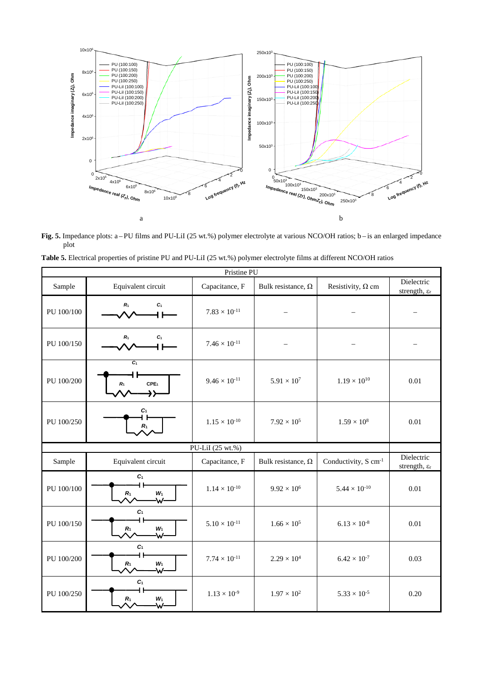

**Fig. 5.** Impedance plots: a – PU films and PU-LiI (25 wt.%) polymer electrolyte at various NCO/OH ratios; b – is an enlarged impedance plot

| Pristine PU |                                                 |                             |                           |                                  |                                        |
|-------------|-------------------------------------------------|-----------------------------|---------------------------|----------------------------------|----------------------------------------|
| Sample      | Equivalent circuit                              | Capacitance, F              | Bulk resistance, $\Omega$ | Resistivity, $\Omega$ cm         | Dielectric<br>strength, ε <sub>r</sub> |
| PU 100/100  | C1<br>$R_1$                                     | $7.83 \times 10^{-11}$      |                           |                                  |                                        |
| PU 100/150  | $R_1$<br>C1                                     | $7.46 \times 10^{-11}$      |                           |                                  |                                        |
| PU 100/200  | C<br>CPE <sub>1</sub><br>R <sub>1</sub><br>→≻   | $9.46 \times 10^{-11}$      | $5.91 \times 10^{7}$      | $1.19 \times 10^{10}$            | 0.01                                   |
| PU 100/250  | $c_{1}$<br>$R_1$                                | $1.15\times10^{\text{-}10}$ | $7.92 \times 10^{5}$      | $1.59 \times 10^{8}$             | 0.01                                   |
|             |                                                 | PU-LiI (25 wt.%)            |                           |                                  |                                        |
| Sample      | Equivalent circuit                              | Capacitance, F              | Bulk resistance, $\Omega$ | Conductivity, S cm <sup>-1</sup> | Dielectric<br>strength, ε <sub>r</sub> |
| PU 100/100  | C <sub>1</sub><br>$W_1$<br>R <sub>1</sub><br>₩- | $1.14 \times 10^{-10}$      | $9.92 \times 10^{6}$      | $5.44 \times 10^{-10}$           | 0.01                                   |
| PU 100/150  | C <sub>1</sub><br>W <sub>1</sub><br>$R_1$<br>₩- | $5.10 \times 10^{-11}$      | $1.66 \times 10^{5}$      | $6.13 \times 10^{-8}$            | 0.01                                   |
| PU 100/200  | $c_{1}$<br>ዘ ዘ<br>$W_1$<br>R <sub>1</sub><br>₩- | $7.74 \times 10^{-11}$      | $2.29 \times 10^{4}$      | $6.42 \times 10^{-7}$            | 0.03                                   |
| PU 100/250  | C <sub>1</sub><br>4 H<br>$W_1$<br>$R_1$<br>\አ/- | $1.13 \times 10^{-9}$       | $1.97 \times 10^{2}$      | $5.33 \times 10^{-5}$            | 0.20                                   |

|  | Table 5. Electrical properties of pristine PU and PU-LiI (25 wt.%) polymer electrolyte films at different NCO/OH ratios |  |
|--|-------------------------------------------------------------------------------------------------------------------------|--|
|  |                                                                                                                         |  |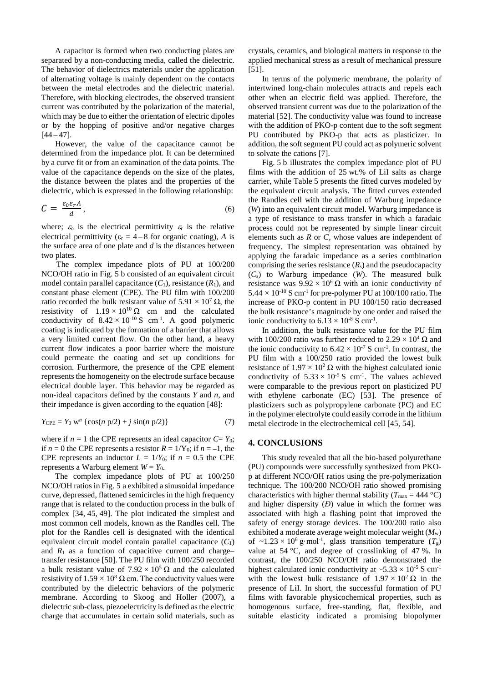A capacitor is formed when two conducting plates are separated by a non-conducting media, called the dielectric. The behavior of dielectrics materials under the application of alternating voltage is mainly dependent on the contacts between the metal electrodes and the dielectric material. Therefore, with blocking electrodes, the observed transient current was contributed by the polarization of the material, which may be due to either the orientation of electric dipoles or by the hopping of positive and/or negative charges  $[44 - 47]$ .

However, the value of the capacitance cannot be determined from the impedance plot. It can be determined by a curve fit or from an examination of the data points. The value of the capacitance depends on the size of the plates, the distance between the plates and the properties of the dielectric, which is expressed in the following relationship:

$$
\mathcal{C} = \frac{\varepsilon_0 \varepsilon_r A}{d},\tag{6}
$$

where;  $\varepsilon_0$  is the electrical permittivity  $\varepsilon_r$  is the relative electrical permittivity ( $\varepsilon_r = 4-8$  for organic coating), A is the surface area of one plate and *d* is the distances between two plates.

The complex impedance plots of PU at 100/200 NCO/OH ratio in Fig. 5 b consisted of an equivalent circuit model contain parallel capacitance  $(C_1)$ , resistance  $(R_1)$ , and constant phase element (CPE). The PU film with 100/200 ratio recorded the bulk resistant value of  $5.91 \times 10^7 \Omega$ , the resistivity of  $1.19 \times 10^{10} \Omega$  cm and the calculated conductivity of  $8.42 \times 10^{-10}$  S cm<sup>-1</sup>. A good polymeric coating is indicated by the formation of a barrier that allows a very limited current flow. On the other hand, a heavy current flow indicates a poor barrier where the moisture could permeate the coating and set up conditions for corrosion. Furthermore, the presence of the CPE element represents the homogeneity on the electrode surface because electrical double layer. This behavior may be regarded as non-ideal capacitors defined by the constants *Y* and *n*, and their impedance is given according to the equation [48]:

$$
Y_{\rm CPE} = Y_0 \, \mathbf{w}^n \, \{ \cos(n \, \mathbf{p}/2) + j \, \sin(n \, \mathbf{p}/2) \} \tag{7}
$$

where if  $n = 1$  the CPE represents an ideal capacitor  $C = Y_0$ ; if  $n = 0$  the CPE represents a resistor  $R = 1/Y_0$ ; if  $n = -1$ , the CPE represents an inductor  $L = 1/Y_0$ ; if  $n = 0.5$  the CPE represents a Warburg element  $W = Y_0$ .

The complex impedance plots of PU at 100/250 NCO/OH ratios in Fig. 5 a exhibited a sinusoidal impedance curve, depressed, flattened semicircles in the high frequency range that is related to the conduction process in the bulk of complex [34, 45, 49]. The plot indicated the simplest and most common cell models, known as the Randles cell. The plot for the Randles cell is designated with the identical equivalent circuit model contain parallel capacitance  $(C_1)$ and  $R_1$  as a function of capacitive current and charge– transfer resistance [50]. The PU film with 100/250 recorded a bulk resistant value of  $7.92 \times 10^5 \Omega$  and the calculated resistivity of  $1.59 \times 10^8 \Omega$  cm. The conductivity values were contributed by the dielectric behaviors of the polymeric membrane. According to Skoog and Holler (2007), a dielectric sub-class, piezoelectricity is defined as the electric charge that accumulates in certain solid materials, such as

crystals, ceramics, and biological matters in response to the applied mechanical stress as a result of mechanical pressure [51].

In terms of the polymeric membrane, the polarity of intertwined long-chain molecules attracts and repels each other when an electric field was applied. Therefore, the observed transient current was due to the polarization of the material [52]. The conductivity value was found to increase with the addition of PKO-p content due to the soft segment PU contributed by PKO-p that acts as plasticizer. In addition, the soft segment PU could act as polymeric solvent to solvate the cations [7].

Fig. 5 b illustrates the complex impedance plot of PU films with the addition of 25 wt.% of LiI salts as charge carrier, while Table 5 presents the fitted curves modeled by the equivalent circuit analysis. The fitted curves extended the Randles cell with the addition of Warburg impedance (*W*) into an equivalent circuit model. Warburg impedance is a type of resistance to mass transfer in which a faradaic process could not be represented by simple linear circuit elements such as *R* or *C*, whose values are independent of frequency. The simplest representation was obtained by applying the faradaic impedance as a series combination comprising the series resistance  $(R_s)$  and the pseudocapacity (*C*s) to Warburg impedance (*W*). The measured bulk resistance was  $9.92 \times 10^6 \Omega$  with an ionic conductivity of  $5.44 \times 10^{-10}$  S cm<sup>-1</sup> for pre-polymer PU at 100/100 ratio. The increase of PKO-p content in PU 100/150 ratio decreased the bulk resistance's magnitude by one order and raised the ionic conductivity to  $6.13 \times 10^{-8}$  S cm<sup>-1</sup>.

In addition, the bulk resistance value for the PU film with 100/200 ratio was further reduced to 2.29  $\times$  10<sup>4</sup>  $\Omega$  and the ionic conductivity to  $6.42 \times 10^{-7}$  S cm<sup>-1</sup>. In contrast, the PU film with a 100/250 ratio provided the lowest bulk resistance of  $1.97 \times 10^2 \Omega$  with the highest calculated ionic conductivity of  $5.33 \times 10^{-5}$  S cm<sup>-1</sup>. The values achieved were comparable to the previous report on plasticized PU with ethylene carbonate (EC) [53]. The presence of plasticizers such as polypropylene carbonate (PC) and EC in the polymer electrolyte could easily corrode in the lithium metal electrode in the electrochemical cell [45, 54].

#### **4. CONCLUSIONS**

This study revealed that all the bio-based polyurethane (PU) compounds were successfully synthesized from PKOp at different NCO/OH ratios using the pre-polymerization technique. The 100/200 NCO/OH ratio showed promising characteristics with higher thermal stability ( $T_{\text{max}} = 444 \text{ °C}$ ) and higher dispersity (*Đ*) value in which the former was associated with high a flashing point that improved the safety of energy storage devices. The 100/200 ratio also exhibited a moderate average weight molecular weight (*M*w) of  $\sim$ 1.23 × 10<sup>6</sup> g·mol<sup>-1</sup>, glass transition temperature ( $T_g$ ) value at 54 °C, and degree of crosslinking of 47 %. In contrast, the 100/250 NCO/OH ratio demonstrated the highest calculated ionic conductivity at  $\sim$ 5.33  $\times$  10<sup>-5</sup> S cm<sup>-1</sup> with the lowest bulk resistance of  $1.97 \times 10^2 \Omega$  in the presence of LiI. In short, the successful formation of PU films with favorable physicochemical properties, such as homogenous surface, free-standing, flat, flexible, and suitable elasticity indicated a promising biopolymer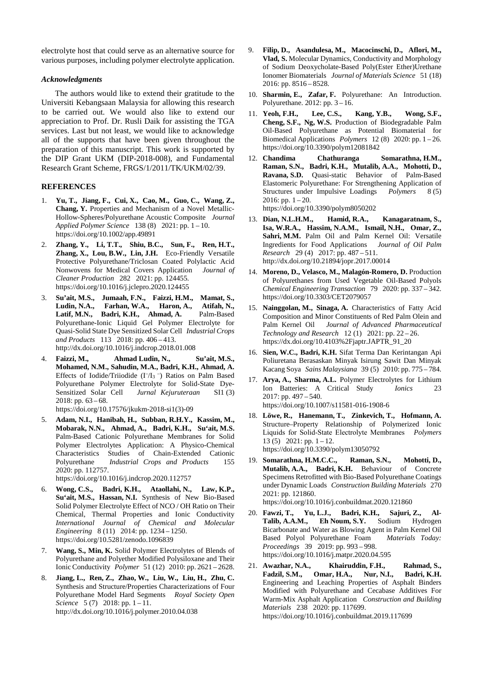electrolyte host that could serve as an alternative source for various purposes, including polymer electrolyte application.

#### *Acknowledgments*

The authors would like to extend their gratitude to the Universiti Kebangsaan Malaysia for allowing this research to be carried out. We would also like to extend our appreciation to Prof. Dr. Rusli Daik for assisting the TGA services. Last but not least, we would like to acknowledge all of the supports that have been given throughout the preparation of this manuscript. This work is supported by the DIP Grant UKM (DIP-2018-008), and Fundamental Research Grant Scheme, FRGS/1/2011/TK/UKM/02/39.

## **REFERENCES**

- 1. **Yu, T., Jiang, F., Cui, X., Cao, M., Guo, C., Wang, Z., Chang, Y.** Properties and Mechanism of a Novel Metallic-Hollow-Spheres/Polyurethane Acoustic Composite *Journal Applied Polymer Science* 138 (8) 2021: pp. 1 – 10. https://doi.org/10.1002/app.49891
- 2. **Zhang, Y., Li, T.T., Shiu, B.C., Sun, F., Ren, H.T., Zhang, X., Lou, B.W., Lin, J.H.** Eco-Friendly Versatile Protective Polyurethane/Triclosan Coated Polylactic Acid Nonwovens for Medical Covers Application *Journal of Cleaner Production* 282 2021: pp. 124455. https://doi.org/10.1016/j.jclepro.2020.124455
- 3. **Su'ait, M.S., Jumaah, F.N., Faizzi, H.M., Mamat, S., Ludin, N.A., Farhan, W.A., Haron, A., Atifah, N., Latif, M.N., Badri, K.H., Ahmad, A.** Palm-Based Polyurethane-Ionic Liquid Gel Polymer Electrolyte for Quasi-Solid State Dye Sensitized Solar Cell *Industrial Crops and Products* 113 2018: pp. 406 – 413. http://dx.doi.org/10.1016/j.indcrop.2018.01.008
- 4. **Faizzi, M., Ahmad Ludin, N., Su'ait, M.S., Mohamed, N.M., Sahudin, M.A., Badri, K.H., Ahmad, A.** Effects of Iodide/Triiodide (I–/I3 –) Ratios on Palm Based Polyurethane Polymer Electrolyte for Solid-State Dye-Sensitized Solar Cell *Jurnal Kejuruteraan* SI1 (3) 2018: pp.  $63 - 68$ .

https://doi.org/10.17576/jkukm-2018-si1(3)-09

5. **Adam, N.I., Hanibah, H., Subban, R.H.Y., Kassim, M., Mobarak, N.N., Ahmad, A., Badri, K.H., Su'ait, M.S.** Palm-Based Cationic Polyurethane Membranes for Solid Polymer Electrolytes Application: A Physico-Chemical Characteristics Studies of Chain-Extended Cationic Polyurethane *Industrial Crops and Products* 155 2020: pp. 112757.

https://doi.org/10.1016/j.indcrop.2020.112757

- 6. **Wong, C.S., Badri, K.H., Ataollahi, N., Law, K.P., Su'ait, M.S., Hassan, N.I.** Synthesis of New Bio-Based Solid Polymer Electrolyte Effect of NCO / OH Ratio on Their Chemical, Thermal Properties and Ionic Conductivity *International Journal of Chemical and Molecular Engineering* 8 (11) 2014: pp. 1234 – 1250. https://doi.org/10.5281/zenodo.1096839
- 7. **Wang, S., Min, K.** Solid Polymer Electrolytes of Blends of Polyurethane and Polyether Modified Polysiloxane and Their Ionic Conductivity *Polymer* 51 (12) 2010: pp. 2621 – 2628.
- 8. **Jiang, L., Ren, Z., Zhao, W., Liu, W., Liu, H., Zhu, C.** Synthesis and Structure/Properties Characterizations of Four Polyurethane Model Hard Segments *Royal Society Open Science* 5 (7) 2018: pp. 1 – 11. http://dx.doi.org/10.1016/j.polymer.2010.04.038
- 9. **Filip, D., Asandulesa, M., Macocinschi, D., Aflori, M., Vlad, S.** Molecular Dynamics, Conductivity and Morphology of Sodium Deoxycholate-Based Poly(Ester Ether)Urethane Ionomer Biomaterials *Journal of Materials Science* 51 (18) 2016: pp. 8516 – 8528.
- 10. **Sharmin, E., Zafar, F.** Polyurethane: An Introduction. Polyurethane. 2012: pp. 3 – 16.
- 11. **Yeoh, F.H., Lee, C.S., Kang, Y.B., Wong, S.F., Cheng, S.F., Ng, W.S.** Production of Biodegradable Palm Oil-Based Polyurethane as Potential Biomaterial for Biomedical Applications *Polymers* 12 (8) 2020: pp. 1 – 26. https://doi.org/10.3390/polym12081842
- 12. **Chandima Chathuranga Somarathna, H.M., Raman, S.N., Badri, K.H., Mutalib, A.A., Mohotti, D., Ravana, S.D.** Quasi-static Behavior of Palm-Based Elastomeric Polyurethane: For Strengthening Application of Structures under Impulsive Loadings *Polymers* 8 (5) 2016: pp.  $1 - 20$ . https://doi.org/10.3390/polym8050202
- 13. **Dian, N.L.H.M., Hamid, R.A., Kanagaratnam, S., Isa, W.R.A., Hassim, N.A.M., Ismail, N.H., Omar, Z., Sahri, M.M.** Palm Oil and Palm Kernel Oil: Versatile Ingredients for Food Applications *Journal of Oil Palm Research* 29 (4) 2017: pp. 487 – 511. http://dx.doi.org/10.21894/jopr.2017.00014
- 14. **Moreno, D., Velasco, M., Malagón-Romero, D.** Production of Polyurethanes from Used Vegetable Oil-Based Polyols *Chemical Engineering Transaction* 79 2020: pp. 337 – 342. https://doi.org/10.3303/CET2079057
- 15. **Nainggolan, M., Sinaga, A.** Characteristics of Fatty Acid Composition and Minor Constituents of Red Palm Olein and Palm Kernel Oil *Journal of Advanced Pharmaceutical Technology and Research* 12 (1) 2021: pp. 22 – 26. https://dx.doi.org/10.4103%2Fjaptr.JAPTR\_91\_20
- 16. **Sien, W.C., Badri, K.H.** Sifat Terma Dan Kerintangan Api Poliuretana Berasaskan Minyak Isirung Sawit Dan Minyak Kacang Soya *Sains Malaysiana* 39 (5) 2010: pp. 775 – 784.
- 17. **Arya, A., Sharma, A.L.** Polymer Electrolytes for Lithium Ion Batteries: A Critical Study *Ionics* 23 2017: pp. 497 – 540. https://doi.org/10.1007/s11581-016-1908-6
- 18. **Löwe, R., Hanemann, T., Zinkevich, T., Hofmann, A.** Structure–Property Relationship of Polymerized Ionic Liquids for Solid‐State Electrolyte Membranes *Polymers*  $13(5)$  2021: pp. 1 – 12. https://doi.org/10.3390/polym13050792
- 19. **Somarathna, H.M.C.C., Raman, S.N., Mohotti, D., Mutalib, A.A., Badri, K.H.** Behaviour of Concrete Specimens Retrofitted with Bio-Based Polyurethane Coatings under Dynamic Loads *Construction Building Materials* 270 2021: pp. 121860.

https://doi.org/10.1016/j.conbuildmat.2020.121860

- 20. **Fawzi, T., Yu, L.J., Badri, K.H., Sajuri, Z., Al-Talib, A.A.M., Eh Noum, S.Y.** Sodium Hydrogen Bicarbonate and Water as Blowing Agent in Palm Kernel Oil Based Polyol Polyurethane Foam *Materials Today: Proceedings* 39 2019: pp. 993 – 998. https://doi.org/10.1016/j.matpr.2020.04.595
- 21. **Awazhar, N.A., Khairuddin, F.H., Rahmad, S., Fadzil, S.M., Omar, H.A., Nur, N.I., Badri, K.H.** Engineering and Leaching Properties of Asphalt Binders Modified with Polyurethane and Cecabase Additives For Warm-Mix Asphalt Application *Construction and Building Materials* 238 2020: pp. 117699. https://doi.org/10.1016/j.conbuildmat.2019.117699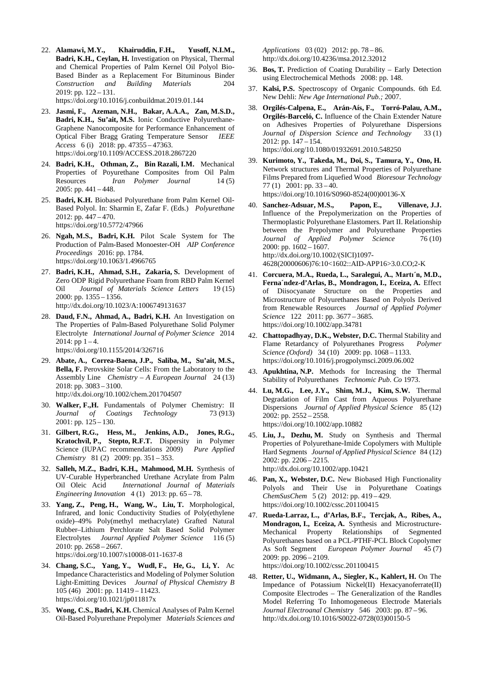22. **Alamawi, M.Y., Khairuddin, F.H., Yusoff, N.I.M., Badri, K.H., Ceylan, H.** Investigation on Physical, Thermal and Chemical Properties of Palm Kernel Oil Polyol Bio-Based Binder as a Replacement For Bituminous Binder<br>Construction and Building Materials 204 *Construction and Building Materials* 204 2019: pp. 122 – 131.

https://doi.org/10.1016/j.conbuildmat.2019.01.144

- 23. **Jasmi, F., Azeman, N.H., Bakar, A.A.A., Zan, M.S.D., Badri, K.H., Su'ait, M.S.** Ionic Conductive Polyurethane-Graphene Nanocomposite for Performance Enhancement of Optical Fiber Bragg Grating Temperature Sensor *IEEE Access* 6 (i) 2018: pp. 47355 – 47363. https://doi.org/10.1109/ACCESS.2018.2867220
- 24. **Badri, K.H., Othman, Z., Bin Razali, I.M.** Mechanical Properties of Poyurethane Composites from Oil Palm Resources *Iran Polymer Journal* 14 (5) 2005: pp. 441 – 448.
- 25. **Badri, K.H.** Biobased Polyurethane from Palm Kernel Oil-Based Polyol. In: Sharmin E, Zafar F. (Eds.) *Polyurethane* 2012: pp. 447 – 470. https://doi.org/10.5772/47966
- 26. **Ngah, M.S., Badri, K.H.** Pilot Scale System for The Production of Palm-Based Monoester-OH *AIP Conference Proceedings* 2016: pp. 1784. https://doi.org/10.1063/1.4966765
- 27. **Badri, K.H., Ahmad, S.H., Zakaria, S.** Development of Zero ODP Rigid Polyurethane Foam from RBD Palm Kernel Oil *Journal of Materials Science Letters* 19 (15) 2000: pp. 1355 – 1356. http://dx.doi.org/10.1023/A:1006749131637
- 28. **Daud, F.N., Ahmad, A., Badri, K.H.** An Investigation on The Properties of Palm-Based Polyurethane Solid Polymer Electrolyte *International Journal of Polymer Science* 2014 2014: pp  $1 - 4$ .

https://doi.org/10.1155/2014/326716

- 29. **Abate, A., Correa-Baena, J.P., Saliba, M., Su'ait, M.S., Bella, F.** Perovskite Solar Cells: From the Laboratory to the Assembly Line *Chemistry – A European Journal* 24 (13) 2018: pp. 3083 – 3100. http://dx.doi.org/10.1002/chem.201704507
- 30. **Walker, F.,H.** Fundamentals of Polymer Chemistry: II *Journal of Coatings Technology* 73 (913) 2001: pp. 125 – 130.
- 31. **Gilbert, R.G., Hess, M., Jenkins, A.D., Jones, R.G., Kratochvíl, P., Stepto, R.F.T.** Dispersity in Polymer Science (IUPAC recommendations 2009) *Pure Applied Chemistry* 81 (2) 2009: pp. 351 – 353.
- 32. **Salleh, M.Z., Badri, K.H., Mahmood, M.H.** Synthesis of UV-Curable Hyperbranched Urethane Acrylate from Palm Oil Oleic Acid *International Journal of Materials Engineering Innovation* 4 (1) 2013: pp. 65 – 78.
- 33. **Yang, Z., Peng, H., Wang, W., Liu, T.** Morphological, Infrared, and Ionic Conductivity Studies of Poly(ethylene oxide)–49% Poly(methyl methacrylate) Grafted Natural Rubber–Lithium Perchlorate Salt Based Solid Polymer Electrolytes *Journal Applied Polymer Science* 116 (5) 2010: pp. 2658 – 2667.

https://doi.org/10.1007/s10008-011-1637-8

- 34. **Chang, S.C., Yang, Y., Wudl, F., He, G., Li, Y.** Ac Impedance Characteristics and Modeling of Polymer Solution Light-Emitting Devices *Journal of Physical Chemistry B* 105 (46) 2001: pp. 11419 – 11423. https://doi.org/10.1021/jp011817x
- 35. **Wong, C.S., Badri, K.H.** Chemical Analyses of Palm Kernel Oil-Based Polyurethane Prepolymer *Materials Sciences and*

*Applications* 03 (02) 2012: pp. 78 – 86. http://dx.doi.org/10.4236/msa.2012.32012

- 36. **Bos, T.** Prediction of Coating Durability Early Detection using Electrochemical Methods 2008: pp. 148.
- 37. **Kalsi, P.S.** Spectroscopy of Organic Compounds. 6th Ed. New Dehli: *New Age International Pub.;* 2007.
- 38. **Orgilés-Calpena, E., Arán-Aís, F., Torró-Palau, A.M., Orgilés-Barceló, C.** Influence of the Chain Extender Nature on Adhesives Properties of Polyurethane Dispersions *Journal of Dispersion Science and Technology* 33(1) 2012: pp. 147 – 154. https://doi.org/10.1080/01932691.2010.548250
- 39. **Kurimoto, Y., Takeda, M., Doi, S., Tamura, Y., Ono, H.** Network structures and Thermal Properties of Polyurethane Films Prepared from Liquefied Wood *Bioresour Technology* 77 (1) 2001: pp. 33 – 40. https://doi.org/10.1016/S0960-8524(00)00136-X
- 40. **Sanchez-Adsuar, M.S., Papon, E., Villenave, J.J.** Influence of the Prepolymerization on the Properties of Thermoplastic Polyurethane Elastomers. Part II. Relationship between the Prepolymer and Polyurethane Properties *Journal of Applied Polymer Science* 76 (10) 2000: pp. 1602 – 1607. http://dx.doi.org/10.1002/(SICI)1097- 4628(20000606)76:10<1602::AID-APP16>3.0.CO;2-K
- 41. **Corcuera, M.A., Rueda, L., Saralegui, A., Martı´n, M.D., Ferna´ndez-d'Arlas, B., Mondragon, I., Eceiza, A.** Effect of Diisocyanate Structure on the Properties and Microstructure of Polyurethanes Based on Polyols Derived from Renewable Resources *Journal of Applied Polymer Science* 122 2011: pp. 3677 – 3685. https://doi.org/10.1002/app.34781
- 42. **Chattopadhyay, D.K., Webster, D.C.** Thermal Stability and Flame Retardancy of Polyurethanes Progress *Polymer Science (Oxford)* 34 (10) 2009: pp. 1068 – 1133. https://doi.org/10.1016/j.progpolymsci.2009.06.002
- 43. **Apukhtina, N.P.** Methods for Increasing the Thermal Stability of Polyurethanes *Technomic Pub*. *Co* 1973.
- 44. **Lu, M.G., Lee, J.Y., Shim, M.J., Kim, S.W.** Thermal Degradation of Film Cast from Aqueous Polyurethane Dispersions *Journal of Applied Physical Science* 85 (12) 2002: pp. 2552 – 2558. https://doi.org/10.1002/app.10882
- 45. **Liu, J., Dezhu, M.** Study on Synthesis and Thermal Properties of Polyurethane-Imide Copolymers with Multiple Hard Segments *Journal of Applied Physical Science* 84 (12) 2002: pp. 2206 – 2215. http://dx.doi.org/10.1002/app.10421
- 46. **Pan, X., Webster, D.C.** New Biobased High Functionality Polyols and Their Use in Polyurethane Coatings *ChemSusChem* 5 (2) 2012: pp. 419 – 429. https://doi.org/10.1002/cssc.201100415
- 47. **Rueda-Larraz, L., d'Arlas, B.F., Tercjak, A., Ribes, A., Mondragon, I., Eceiza, A.** Synthesis and Microstructure-Mechanical Property Relationships of Segmented Polyurethanes based on a PCL-PTHF-PCL Block Copolymer As Soft Segment *European Polymer Journal* 45 (7) 2009: pp. 2096 – 2109. https://doi.org/10.1002/cssc.201100415
- 48. **Retter, U., Widmann, A., Siegler, K., Kahlert, H.** On The Impedance of Potassium Nickel(II) Hexacyanoferrate(II) Composite Electrodes – The Generalization of the Randles Model Referring To Inhomogeneous Electrode Materials *Journal Electroanal Chemistry* 546 2003: pp. 87 – 96. http://dx.doi.org/10.1016/S0022-0728(03)00150-5